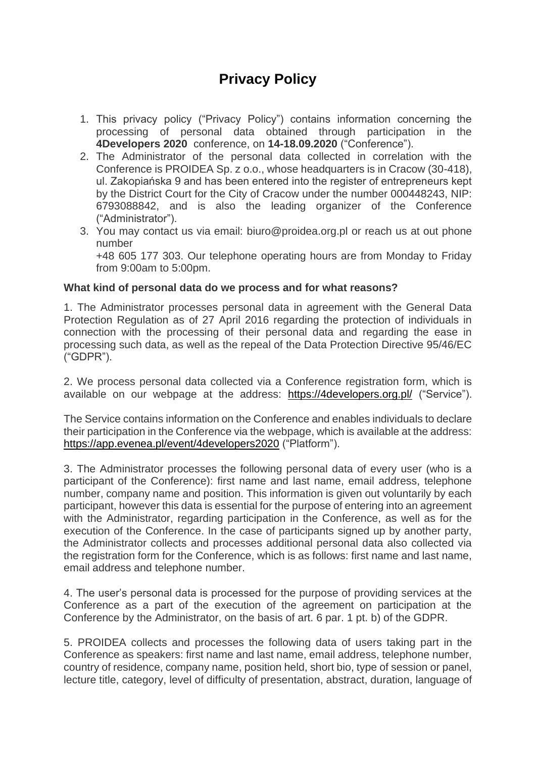# **Privacy Policy**

- 1. This privacy policy ("Privacy Policy") contains information concerning the processing of personal data obtained through participation in the **4Developers 2020** conference, on **14-18.09.2020** ("Conference").
- 2. The Administrator of the personal data collected in correlation with the Conference is PROIDEA Sp. z o.o., whose headquarters is in Cracow (30-418), ul. Zakopiańska 9 and has been entered into the register of entrepreneurs kept by the District Court for the City of Cracow under the number 000448243, NIP: 6793088842, and is also the leading organizer of the Conference ("Administrator").
- 3. You may contact us via email: [biuro@proidea.org.pl](mailto:biuro@proidea.org.pl) or reach us at out phone number

+48 605 177 303. Our telephone operating hours are from Monday to Friday from 9:00am to 5:00pm.

## **What kind of personal data do we process and for what reasons?**

1. The Administrator processes personal data in agreement with the General Data Protection Regulation as of 27 April 2016 regarding the protection of individuals in connection with the processing of their personal data and regarding the ease in processing such data, as well as the repeal of the Data Protection Directive 95/46/EC ("GDPR").

2. We process personal data collected via a Conference registration form, which is available on our webpage at the address: <https://4developers.org.pl/> ("Service").

The Service contains information on the Conference and enables individuals to declare their participation in the Conference via the webpage, which is available at the address: <https://app.evenea.pl/event/4developers2020> ("Platform").

3. The Administrator processes the following personal data of every user (who is a participant of the Conference): first name and last name, email address, telephone number, company name and position. This information is given out voluntarily by each participant, however this data is essential for the purpose of entering into an agreement with the Administrator, regarding participation in the Conference, as well as for the execution of the Conference. In the case of participants signed up by another party, the Administrator collects and processes additional personal data also collected via the registration form for the Conference, which is as follows: first name and last name, email address and telephone number.

4. The user's personal data is processed for the purpose of providing services at the Conference as a part of the execution of the agreement on participation at the Conference by the Administrator, on the basis of art. 6 par. 1 pt. b) of the GDPR.

5. PROIDEA collects and processes the following data of users taking part in the Conference as speakers: first name and last name, email address, telephone number, country of residence, company name, position held, short bio, type of session or panel, lecture title, category, level of difficulty of presentation, abstract, duration, language of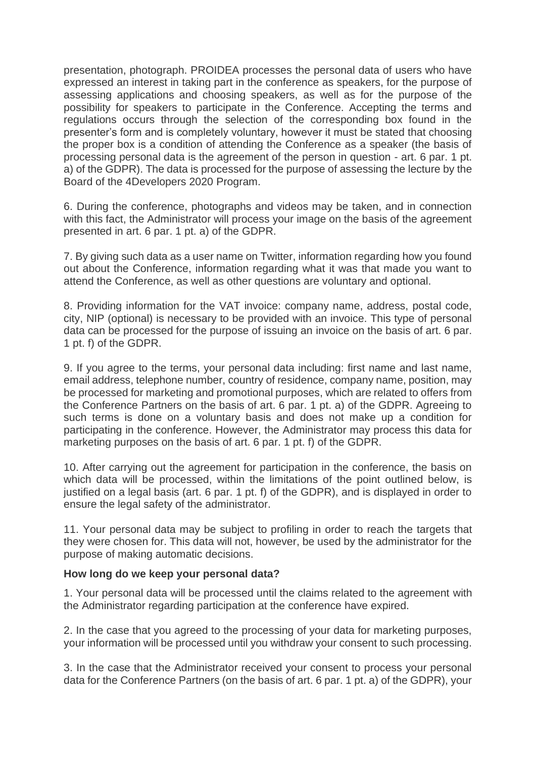presentation, photograph. PROIDEA processes the personal data of users who have expressed an interest in taking part in the conference as speakers, for the purpose of assessing applications and choosing speakers, as well as for the purpose of the possibility for speakers to participate in the Conference. Accepting the terms and regulations occurs through the selection of the corresponding box found in the presenter's form and is completely voluntary, however it must be stated that choosing the proper box is a condition of attending the Conference as a speaker (the basis of processing personal data is the agreement of the person in question - art. 6 par. 1 pt. a) of the GDPR). The data is processed for the purpose of assessing the lecture by the Board of the 4Developers 2020 Program.

6. During the conference, photographs and videos may be taken, and in connection with this fact, the Administrator will process your image on the basis of the agreement presented in art. 6 par. 1 pt. a) of the GDPR.

7. By giving such data as a user name on Twitter, information regarding how you found out about the Conference, information regarding what it was that made you want to attend the Conference, as well as other questions are voluntary and optional.

8. Providing information for the VAT invoice: company name, address, postal code, city, NIP (optional) is necessary to be provided with an invoice. This type of personal data can be processed for the purpose of issuing an invoice on the basis of art. 6 par. 1 pt. f) of the GDPR.

9. If you agree to the terms, your personal data including: first name and last name, email address, telephone number, country of residence, company name, position, may be processed for marketing and promotional purposes, which are related to offers from the Conference Partners on the basis of art. 6 par. 1 pt. a) of the GDPR. Agreeing to such terms is done on a voluntary basis and does not make up a condition for participating in the conference. However, the Administrator may process this data for marketing purposes on the basis of art. 6 par. 1 pt. f) of the GDPR.

10. After carrying out the agreement for participation in the conference, the basis on which data will be processed, within the limitations of the point outlined below, is justified on a legal basis (art. 6 par. 1 pt. f) of the GDPR), and is displayed in order to ensure the legal safety of the administrator.

11. Your personal data may be subject to profiling in order to reach the targets that they were chosen for. This data will not, however, be used by the administrator for the purpose of making automatic decisions.

## **How long do we keep your personal data?**

1. Your personal data will be processed until the claims related to the agreement with the Administrator regarding participation at the conference have expired.

2. In the case that you agreed to the processing of your data for marketing purposes, your information will be processed until you withdraw your consent to such processing.

3. In the case that the Administrator received your consent to process your personal data for the Conference Partners (on the basis of art. 6 par. 1 pt. a) of the GDPR), your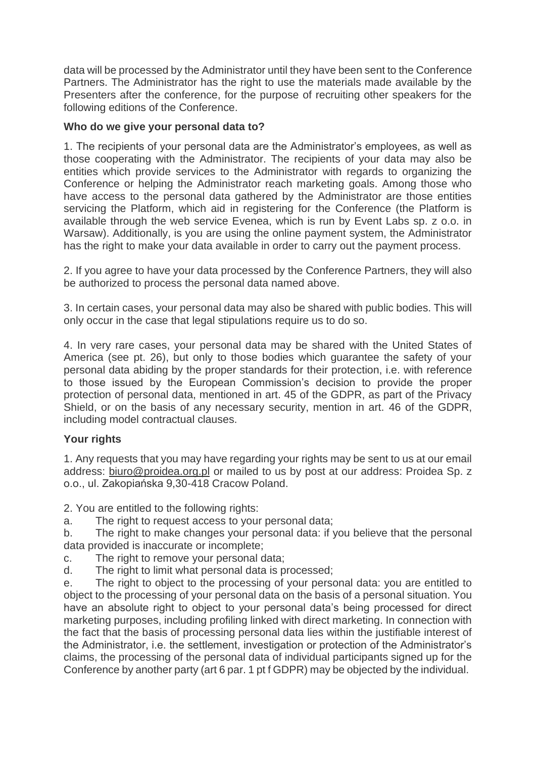data will be processed by the Administrator until they have been sent to the Conference Partners. The Administrator has the right to use the materials made available by the Presenters after the conference, for the purpose of recruiting other speakers for the following editions of the Conference.

# **Who do we give your personal data to?**

1. The recipients of your personal data are the Administrator's employees, as well as those cooperating with the Administrator. The recipients of your data may also be entities which provide services to the Administrator with regards to organizing the Conference or helping the Administrator reach marketing goals. Among those who have access to the personal data gathered by the Administrator are those entities servicing the Platform, which aid in registering for the Conference (the Platform is available through the web service Evenea, which is run by Event Labs sp. z o.o. in Warsaw). Additionally, is you are using the online payment system, the Administrator has the right to make your data available in order to carry out the payment process.

2. If you agree to have your data processed by the Conference Partners, they will also be authorized to process the personal data named above.

3. In certain cases, your personal data may also be shared with public bodies. This will only occur in the case that legal stipulations require us to do so.

4. In very rare cases, your personal data may be shared with the United States of America (see pt. 26), but only to those bodies which guarantee the safety of your personal data abiding by the proper standards for their protection, i.e. with reference to those issued by the European Commission's decision to provide the proper protection of personal data, mentioned in art. 45 of the GDPR, as part of the Privacy Shield, or on the basis of any necessary security, mention in art. 46 of the GDPR, including model contractual clauses.

# **Your rights**

1. Any requests that you may have regarding your rights may be sent to us at our email address: [biuro@proidea.org.pl](mailto:biuro@proidea.org.pl) or mailed to us by post at our address: Proidea Sp. z o.o., ul. Zakopiańska 9,30-418 Cracow Poland.

2. You are entitled to the following rights:

a. The right to request access to your personal data;

b. The right to make changes your personal data: if you believe that the personal data provided is inaccurate or incomplete;

- c. The right to remove your personal data;
- d. The right to limit what personal data is processed;

e. The right to object to the processing of your personal data: you are entitled to object to the processing of your personal data on the basis of a personal situation. You have an absolute right to object to your personal data's being processed for direct marketing purposes, including profiling linked with direct marketing. In connection with the fact that the basis of processing personal data lies within the justifiable interest of the Administrator, i.e. the settlement, investigation or protection of the Administrator's claims, the processing of the personal data of individual participants signed up for the Conference by another party (art 6 par. 1 pt f GDPR) may be objected by the individual.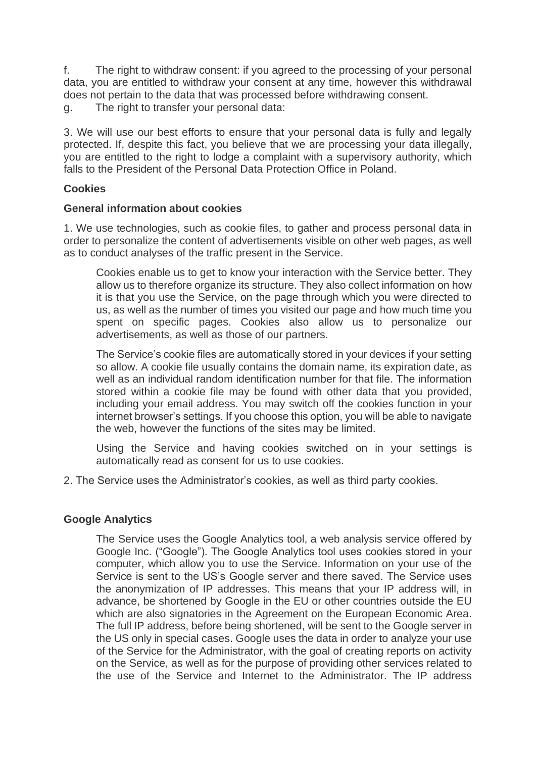f. The right to withdraw consent: if you agreed to the processing of your personal data, you are entitled to withdraw your consent at any time, however this withdrawal does not pertain to the data that was processed before withdrawing consent.

g. The right to transfer your personal data:

3. We will use our best efforts to ensure that your personal data is fully and legally protected. If, despite this fact, you believe that we are processing your data illegally, you are entitled to the right to lodge a complaint with a supervisory authority, which falls to the President of the Personal Data Protection Office in Poland.

# **Cookies**

## **General information about cookies**

1. We use technologies, such as cookie files, to gather and process personal data in order to personalize the content of advertisements visible on other web pages, as well as to conduct analyses of the traffic present in the Service.

Cookies enable us to get to know your interaction with the Service better. They allow us to therefore organize its structure. They also collect information on how it is that you use the Service, on the page through which you were directed to us, as well as the number of times you visited our page and how much time you spent on specific pages. Cookies also allow us to personalize our advertisements, as well as those of our partners.

The Service's cookie files are automatically stored in your devices if your setting so allow. A cookie file usually contains the domain name, its expiration date, as well as an individual random identification number for that file. The information stored within a cookie file may be found with other data that you provided, including your email address. You may switch off the cookies function in your internet browser's settings. If you choose this option, you will be able to navigate the web, however the functions of the sites may be limited.

Using the Service and having cookies switched on in your settings is automatically read as consent for us to use cookies.

2. The Service uses the Administrator's cookies, as well as third party cookies.

# **Google Analytics**

The Service uses the Google Analytics tool, a web analysis service offered by Google Inc. ("Google"). The Google Analytics tool uses cookies stored in your computer, which allow you to use the Service. Information on your use of the Service is sent to the US's Google server and there saved. The Service uses the anonymization of IP addresses. This means that your IP address will, in advance, be shortened by Google in the EU or other countries outside the EU which are also signatories in the Agreement on the European Economic Area. The full IP address, before being shortened, will be sent to the Google server in the US only in special cases. Google uses the data in order to analyze your use of the Service for the Administrator, with the goal of creating reports on activity on the Service, as well as for the purpose of providing other services related to the use of the Service and Internet to the Administrator. The IP address